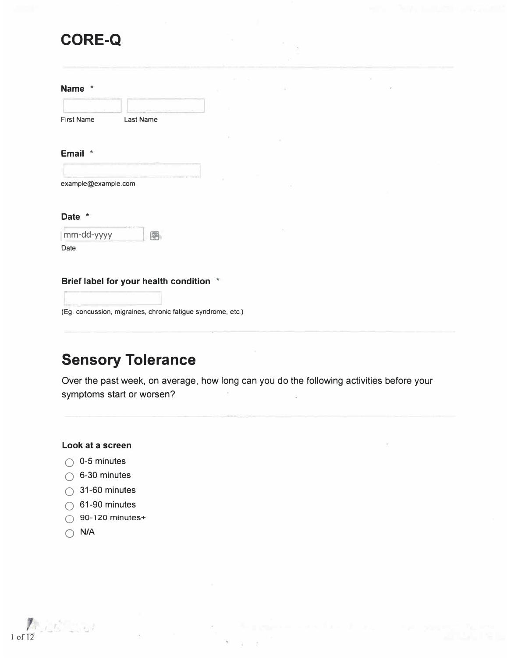# **CORE-Q**

| <b>Name</b> |  |
|-------------|--|
|-------------|--|

| First Name | <b>Last Name</b>                                    |  |
|------------|-----------------------------------------------------|--|
|            | a Ha Hill Ha Hills and Hill Hall Hill Hall in Hills |  |

#### **Email \***

| example@example.com |  |  |  |
|---------------------|--|--|--|

#### **Date \***

| mm-dd-yyyy |  |
|------------|--|
| Date       |  |

#### **Brief label for your health condition \***

(Eg. concussion, migraines, chronic fatigue syndrome, etc.)

# **Sensory Tolerance**

Over the past week, on average, how long can you do the following activities before your symptoms start or worsen?

 $\mathcal{R}$ 

#### **Look at a screen**

- $\bigcirc$  0-5 minutes
- $\bigcirc$  6-30 minutes
- $\bigcirc$  31-60 minutes
- $\bigcirc$  61-90 minutes
- $\bigcirc$  90-120 minutes+
- **Q N/A**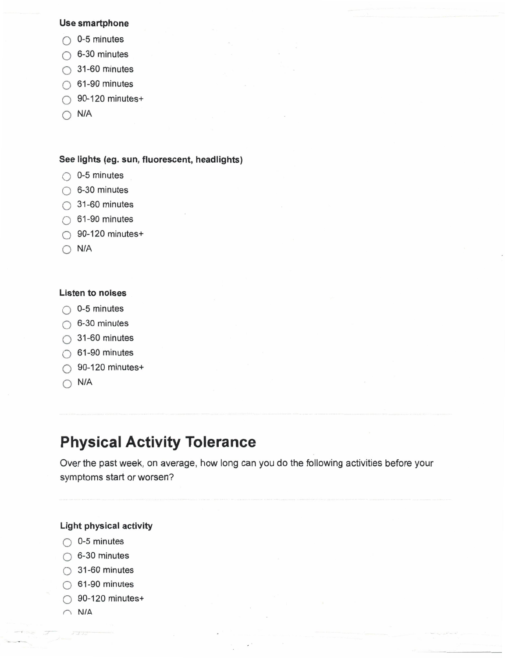#### Use smartphone

- $\bigcirc$  0-5 minutes
- $\bigcirc$  6-30 minutes
- $\bigcirc$  31-60 minutes
- $\bigcirc$  61-90 minutes
- $\bigcirc$  90-120 minutes+
- $\bigcirc$  N/A

#### See lights (eg. sun, fluorescent, headlights)

- $\bigcirc$  0-5 minutes
- $\bigcirc$  6-30 minutes
- $\bigcirc$  31-60 minutes
- $\bigcirc$  61-90 minutes
- $\bigcirc$  90-120 minutes+
- $\bigcirc$  N/A

#### **Listen to noises**

- $\bigcirc$  0-5 minutes
- $\bigcirc$  6-30 minutes
- $\bigcirc$  31-60 minutes
- $\bigcirc$  61-90 minutes
- $\bigcirc$  90-120 minutes+
- $\bigcirc$  N/A

## **Physical Activity Tolerance**

Over the past week, on average, how long can you do the following activities before your symptoms start or worsen?

#### **Light physical activity**

- $\bigcirc$  0-5 minutes
- $\bigcirc$  6-30 minutes
- $\bigcirc$  31-60 minutes
- $\bigcirc$  61-90 minutes
- $\bigcirc$  90-120 minutes+
- $\cap$  N/A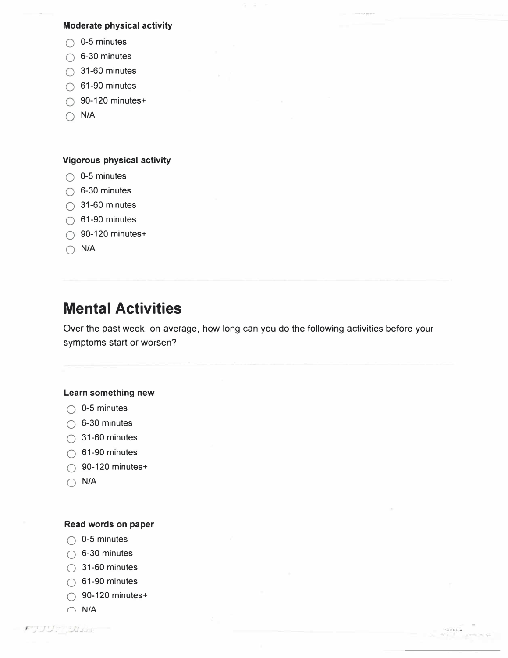#### **Moderate physical activity**

- $\bigcirc$  0-5 minutes
- $\bigcirc$  6-30 minutes
- $\bigcirc$  31-60 minutes
- $\bigcirc$  61-90 minutes
- $\bigcirc$  90-120 minutes+
- $\bigcap$  N/A

#### **Vigorous physical activity**

- $\bigcirc$  0-5 minutes
- $\bigcirc$  6-30 minutes
- $\bigcirc$  31-60 minutes
- $\bigcirc$  61-90 minutes
- $\bigcirc$  90-120 minutes+
- $\bigcap$  N/A

# **Mental Activities**

Over the past week, on average, how long can you do the following activities before your symptoms start or worsen?

#### **Learn something new**

- $\bigcirc$  0-5 minutes
- $\bigcirc$  6-30 minutes
- $\bigcirc$  31-60 minutes
- $\bigcirc$  61-90 minutes
- $\bigcirc$  90-120 minutes+
- $\bigcirc$  N/A

#### **Read words on paper**

- $\bigcirc$  0-5 minutes
- $\bigcirc$  6-30 minutes
- $\bigcirc$  31-60 minutes
- $\bigcirc$  61-90 minutes
- $\bigcirc$  90-120 minutes+
- $\cap$  N/A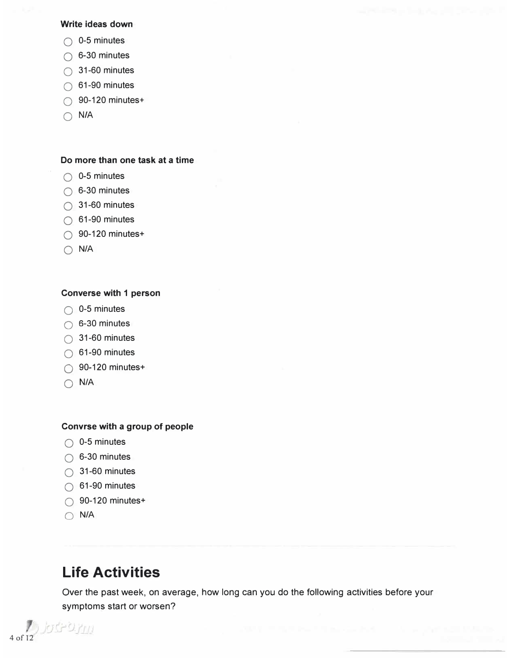#### **Write ideas down**

- $\bigcirc$  0-5 minutes
- $\bigcirc$  6-30 minutes
- $\bigcirc$  31-60 minutes
- $\bigcirc$  61-90 minutes
- $\bigcirc$  90-120 minutes+
- $\bigcap$  N/A

#### **Do more than one task at a time**

- $\bigcirc$  0-5 minutes
- $\bigcirc$  6-30 minutes
- $\bigcirc$  31-60 minutes
- $\bigcirc$  61-90 minutes
- $\bigcirc$  90-120 minutes+
- 0 **N/A**

#### **Converse with 1 person**

- $\bigcirc$  0-5 minutes
- $\bigcirc$  6-30 minutes
- $\bigcirc$  31-60 minutes
- $\bigcirc$  61-90 minutes
- $\bigcirc$  90-120 minutes+
- Q **N/A**

#### **Convrse with a group of people**

- $\bigcirc$  0-5 minutes
- $\bigcirc$  6-30 minutes
- $\bigcirc$  31-60 minutes
- $\bigcirc$  61-90 minutes
- $\bigcirc$  90-120 minutes+
- 0 **N/A**

## **Life Activities**

Over the past week, on average, how long can you do the following activities before your symptoms start or worsen?

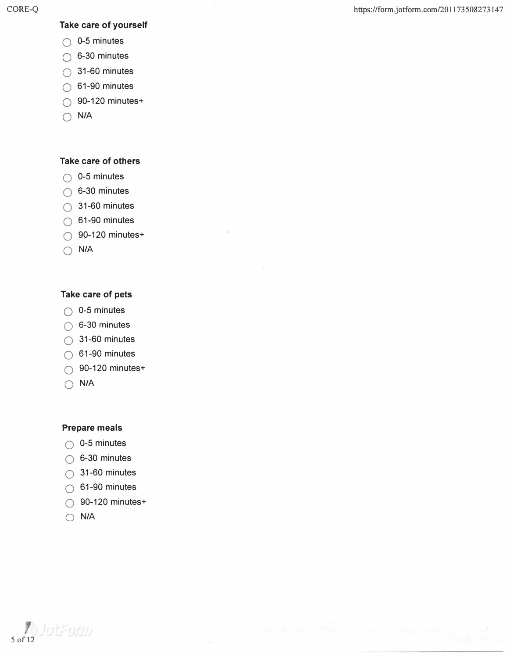#### **Take care of yourself**

- $\bigcirc$  0-5 minutes
- $\bigcirc$  6-30 minutes
- $\bigcirc$  31-60 minutes
- $\bigcirc$  61-90 minutes
- $\bigcirc$  90-120 minutes+
- $\bigcap$  N/A

#### **Take care of others**

- $\bigcirc$  0-5 minutes
- $\bigcirc$  6-30 minutes
- $\bigcirc$  31-60 minutes
- $\bigcirc$  61-90 minutes
- $\bigcirc$  90-120 minutes+
- Q N/A

#### **Take care of pets**

- $\bigcirc$  0-5 minutes
- $\bigcirc$  6-30 minutes
- $\bigcirc$  31-60 minutes
- $\bigcirc$  61-90 minutes
- $\bigcirc$  90-120 minutes+
- Q **N/A**

#### **Prepare meals**

- $\bigcirc$  0-5 minutes
- $\bigcirc$  6-30 minutes
- $\bigcirc$  31-60 minutes
- $\bigcirc$  61-90 minutes
- 0 90-120 minutes+
- 0 **N/A**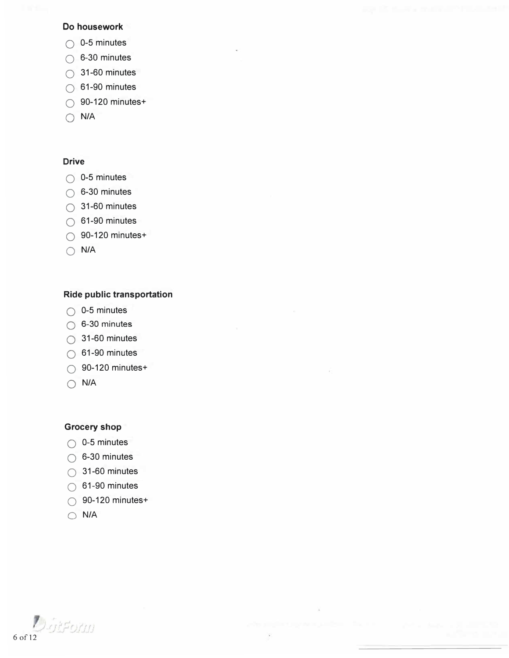#### **Do housework**

- $\bigcirc$  0-5 minutes
- $\bigcirc$  6-30 minutes
- $\bigcirc$  31-60 minutes
- $\bigcirc$  61-90 minutes
- $\bigcirc$  90-120 minutes+
- $\bigcap$  **N/A**

#### **Drive**

- $\bigcirc$  0-5 minutes
- $\bigcirc$  6-30 minutes
- $\bigcirc$  31-60 minutes
- $\bigcirc$  61-90 minutes
- $\bigcirc$  90-120 minutes+
- $\bigcap$  **N/A**

#### **Ride public transportation**

- $\bigcirc$  0-5 minutes
- $\bigcirc$  6-30 minutes
- $\bigcirc$  31-60 minutes
- $\bigcirc$  61-90 minutes
- $\bigcirc$  90-120 minutes+
- $\bigcap$  **N/A**

#### **Grocery shop**

- $\bigcirc$  0-5 minutes
- $\bigcirc$  6-30 minutes
- $\bigcirc$  31-60 minutes
- $\bigcirc$  61-90 minutes
- $\bigcirc$  90-120 minutes+
- $\bigcap$  **N/A**

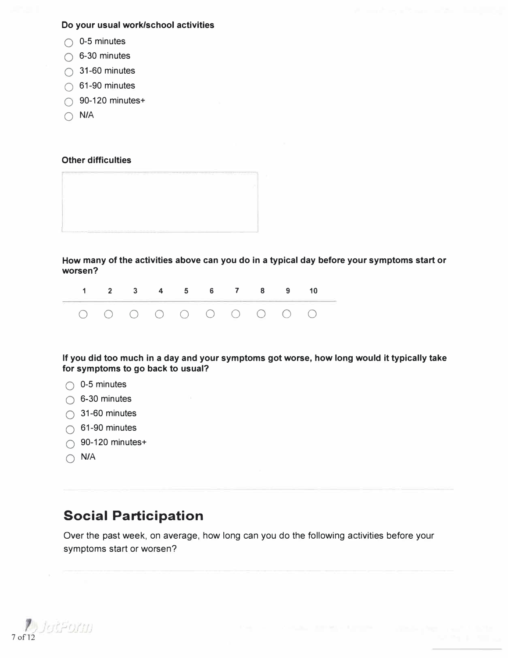### **Do your usual work/school activities**

- $\bigcirc$  0-5 minutes
- $\bigcirc$  6-30 minutes
- $\bigcirc$  31-60 minutes
- $\bigcirc$  61-90 minutes
- $\bigcirc$  90-120 minutes+
- $\bigcap$  N/A

### **Other difficulties**



**How many of the activities above can you do in a typical day before your symptoms start or worsen?** 

| <u> 1908 - La Carlo Alemania e de la Carlo Alemania de la Carlo Alemania de la Carlo Alemania de la Carlo Alemania</u> | 1 2 3 4 5 6 7 8 9 10 |  |  |  |  |  |
|------------------------------------------------------------------------------------------------------------------------|----------------------|--|--|--|--|--|
|                                                                                                                        | 0 0 0 0 0 0 0 0 0 0  |  |  |  |  |  |

**If you did too much in a day and your symptoms got worse, how long would it typically take for symptoms to go back to usual?** 

- $\bigcirc$  0-5 minutes
- $\bigcirc$  6-30 minutes
- $\bigcirc$  31-60 minutes
- $\bigcirc$  61-90 minutes
- $\bigcirc$  90-120 minutes+
- $\bigcap$  **N/A**

## **Social Participation**

Over the past week, on average, how long can you do the following activities before your symptoms start or worsen?

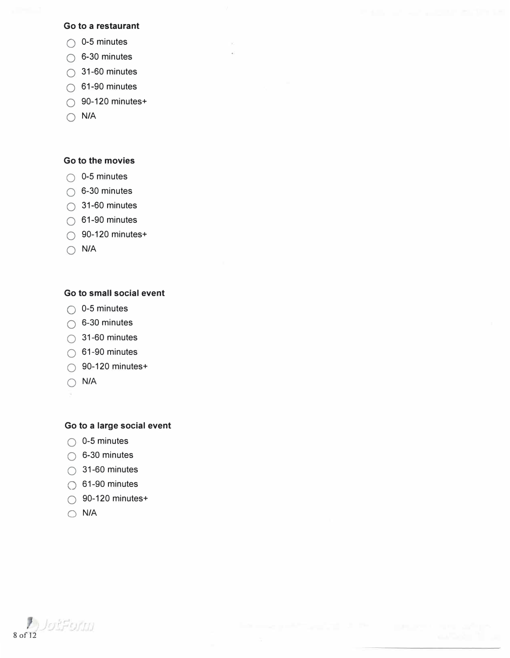#### **Go to a restaurant**

- $\bigcirc$  0-5 minutes
- $\bigcirc$  6-30 minutes
- $\bigcirc$  31-60 minutes
- $\bigcirc$  61-90 minutes
- $\bigcirc$  90-120 minutes+
- Q **N/A**

#### **Go to the movies**

- $\bigcirc$  0-5 minutes
- $\bigcirc$  6-30 minutes
- $\bigcirc$  31-60 minutes
- $\bigcirc$  61-90 minutes
- $\bigcirc$  90-120 minutes+
- $\bigcirc$  **N/A**

#### **Go to small social event**

- $\bigcirc$  0-5 minutes
- $\bigcirc$  6-30 minutes
- $\bigcirc$  31-60 minutes
- $\bigcirc$  61-90 minutes
- $\bigcirc$  90-120 minutes+
- Q **N/A**
- 

#### **Go to a large social event**

- $\bigcirc$  0-5 minutes
- $\bigcirc$  6-30 minutes
- $\bigcirc$  31-60 minutes
- $\bigcirc$  61-90 minutes
- $\bigcirc$  90-120 minutes+
- **0 N/A**

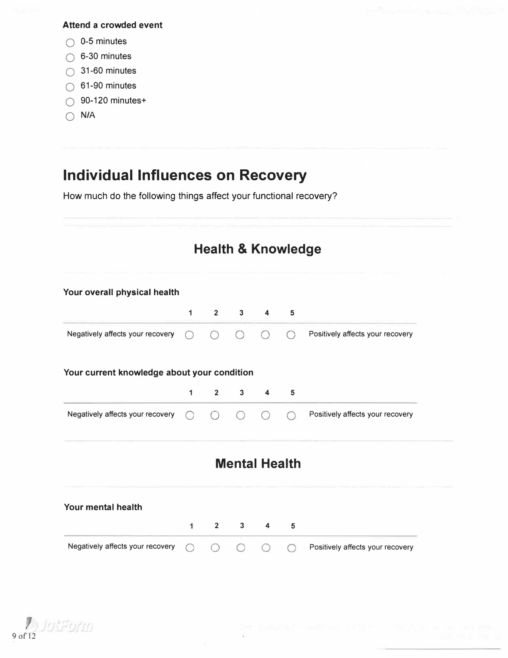### **Attend a crowded event**

- **Q 0-5** minutes
- $\bigcirc$  6-30 minutes
- **Q** 31-60 minutes
- **Q** 61-90 minutes
- **Q** 90-120 minutes+
- **Q N/A**

# **Individual Influences on Recovery**

How much do the following things affect your functional recovery?

|                                             |              | <b>Health &amp; Knowledge</b> |                      |                |           |                                  |
|---------------------------------------------|--------------|-------------------------------|----------------------|----------------|-----------|----------------------------------|
| Your overall physical health                |              |                               |                      |                |           |                                  |
|                                             | $\mathbf{1}$ | $2^{\circ}$                   |                      | $3 \quad 4$    | 5         |                                  |
| Negatively affects your recovery            | $\bigcap$    | $\bigcap$                     | $\bigcap$            | ∩              | $\bigcap$ | Positively affects your recovery |
| Your current knowledge about your condition |              |                               |                      |                |           |                                  |
|                                             | 1            | $\overline{2}$                | $3^{\circ}$          | $\overline{4}$ | 5         |                                  |
| Negatively affects your recovery            | ∩            |                               |                      |                | $\bigcap$ | Positively affects your recovery |
|                                             |              |                               | <b>Mental Health</b> |                |           |                                  |
| Your mental health                          |              |                               |                      |                |           |                                  |
|                                             | 1            | $2^{\sim}$                    | $3^{\circ}$          | $\overline{4}$ | 5         |                                  |
| Negatively affects your recovery            |              |                               |                      |                | ◯         | Positively affects your recovery |
|                                             |              |                               |                      |                |           |                                  |

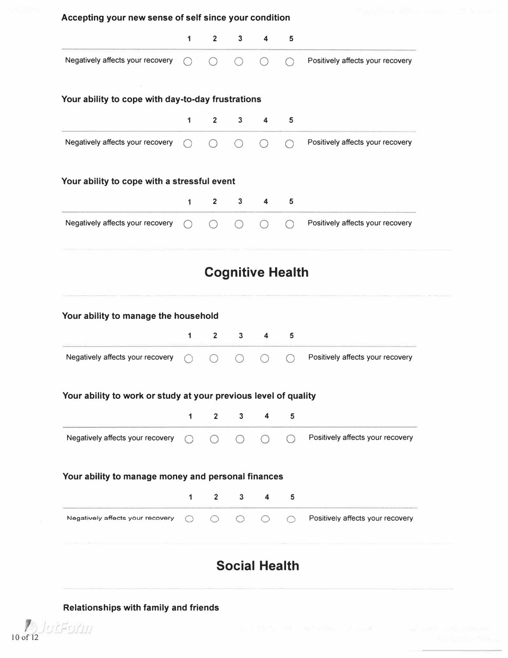| 1         | $\overline{2}$          | $\mathbf{3}$                         | 4                                           | 5                                                 |                                                                                                                                                                                                           |
|-----------|-------------------------|--------------------------------------|---------------------------------------------|---------------------------------------------------|-----------------------------------------------------------------------------------------------------------------------------------------------------------------------------------------------------------|
|           |                         |                                      |                                             |                                                   | Positively affects your recovery                                                                                                                                                                          |
|           |                         |                                      |                                             |                                                   |                                                                                                                                                                                                           |
| 1         | $\overline{2}$          | 3                                    | 4                                           | 5                                                 |                                                                                                                                                                                                           |
|           |                         |                                      |                                             |                                                   | Positively affects your recovery                                                                                                                                                                          |
|           |                         |                                      |                                             |                                                   |                                                                                                                                                                                                           |
| 1         | $\overline{2}$          | $\mathbf{3}$                         | 4                                           | 5                                                 |                                                                                                                                                                                                           |
|           |                         |                                      |                                             |                                                   | Positively affects your recovery                                                                                                                                                                          |
|           |                         |                                      |                                             |                                                   |                                                                                                                                                                                                           |
|           |                         |                                      |                                             |                                                   |                                                                                                                                                                                                           |
| 1         | $\overline{\mathbf{2}}$ | 3                                    | 4                                           | 5                                                 |                                                                                                                                                                                                           |
|           |                         |                                      |                                             |                                                   | Positively affects your recovery                                                                                                                                                                          |
|           |                         |                                      |                                             |                                                   |                                                                                                                                                                                                           |
| 1         | $\mathbf{2}$            | 3                                    | 4                                           | 5                                                 |                                                                                                                                                                                                           |
| $\bigcap$ | $\bigcirc$              | ∩                                    |                                             |                                                   | Positively affects your recovery                                                                                                                                                                          |
|           |                         |                                      |                                             |                                                   |                                                                                                                                                                                                           |
| 1         | $\overline{2}$          | 3                                    | 4                                           | 5                                                 |                                                                                                                                                                                                           |
| ∩         | ○                       | ∩                                    | $\left(\begin{array}{c} \end{array}\right)$ | ∩                                                 | Positively affects your recovery                                                                                                                                                                          |
|           |                         |                                      |                                             |                                                   |                                                                                                                                                                                                           |
|           |                         | Your ability to manage the household | Your ability to cope with a stressful event | Your ability to cope with day-to-day frustrations | Accepting your new sense of self since your condition<br><b>Cognitive Health</b><br>Your ability to work or study at your previous level of quality<br>Your ability to manage money and personal finances |

### **Relationships with family and friends**

 $10$  of 12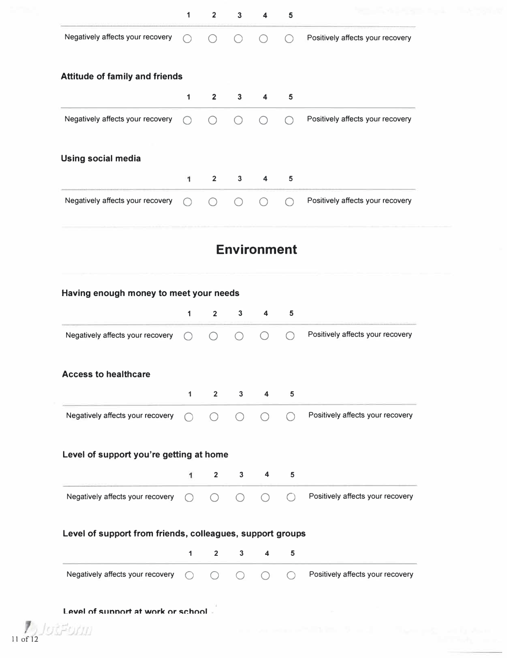|                                                                                                                                                      | $\mathbf 1$  | $\overline{2}$ | 3            | 4                       | 5 |                                  |
|------------------------------------------------------------------------------------------------------------------------------------------------------|--------------|----------------|--------------|-------------------------|---|----------------------------------|
| Negatively affects your recovery                                                                                                                     | $\bigcirc$   |                |              |                         |   | Positively affects your recovery |
| <b>Attitude of family and friends</b>                                                                                                                |              |                |              |                         |   |                                  |
|                                                                                                                                                      | $\mathbf{1}$ | $\overline{2}$ | $3^{\circ}$  | $\overline{\mathbf{4}}$ | 5 |                                  |
| Negatively affects your recovery                                                                                                                     | $\bigcap$    |                |              |                         |   | Positively affects your recovery |
| <b>Using social media</b>                                                                                                                            |              |                |              |                         |   |                                  |
|                                                                                                                                                      | 1            | $\overline{2}$ | $3^{\circ}$  | $\blacktriangleleft$    | 5 |                                  |
| Negatively affects your recovery                                                                                                                     |              |                |              |                         |   | Positively affects your recovery |
|                                                                                                                                                      |              |                |              | <b>Environment</b>      |   |                                  |
|                                                                                                                                                      |              |                |              |                         |   |                                  |
|                                                                                                                                                      |              |                |              |                         |   |                                  |
|                                                                                                                                                      |              |                |              |                         |   |                                  |
|                                                                                                                                                      | 1            | $\overline{2}$ | $\mathbf{3}$ | $\overline{4}$          | 5 |                                  |
|                                                                                                                                                      |              |                |              |                         |   | Positively affects your recovery |
|                                                                                                                                                      |              |                |              |                         |   |                                  |
|                                                                                                                                                      | 1            | $\overline{2}$ | $\mathbf{3}$ | 4                       | 5 |                                  |
| Negatively affects your recovery<br>Negatively affects your recovery                                                                                 | $\bigcap$    | $\bigcirc$     |              |                         |   | Positively affects your recovery |
|                                                                                                                                                      |              |                |              |                         |   |                                  |
|                                                                                                                                                      | $\mathbf{1}$ | $\overline{2}$ | 3            | 4                       | 5 |                                  |
| Having enough money to meet your needs<br><b>Access to healthcare</b><br>Level of support you're getting at home<br>Negatively affects your recovery | $\bigcap$    | ◯              |              |                         |   | Positively affects your recovery |
| Level of support from friends, colleagues, support groups                                                                                            |              |                |              |                         |   |                                  |
|                                                                                                                                                      | $\mathbf{1}$ | $\overline{2}$ | $\mathbf{3}$ | 4                       | 5 |                                  |
| Negatively affects your recovery                                                                                                                     | $\bigcirc$   |                |              |                         |   | Positively affects your recovery |

Level of sunnort at work or school

11 of 12